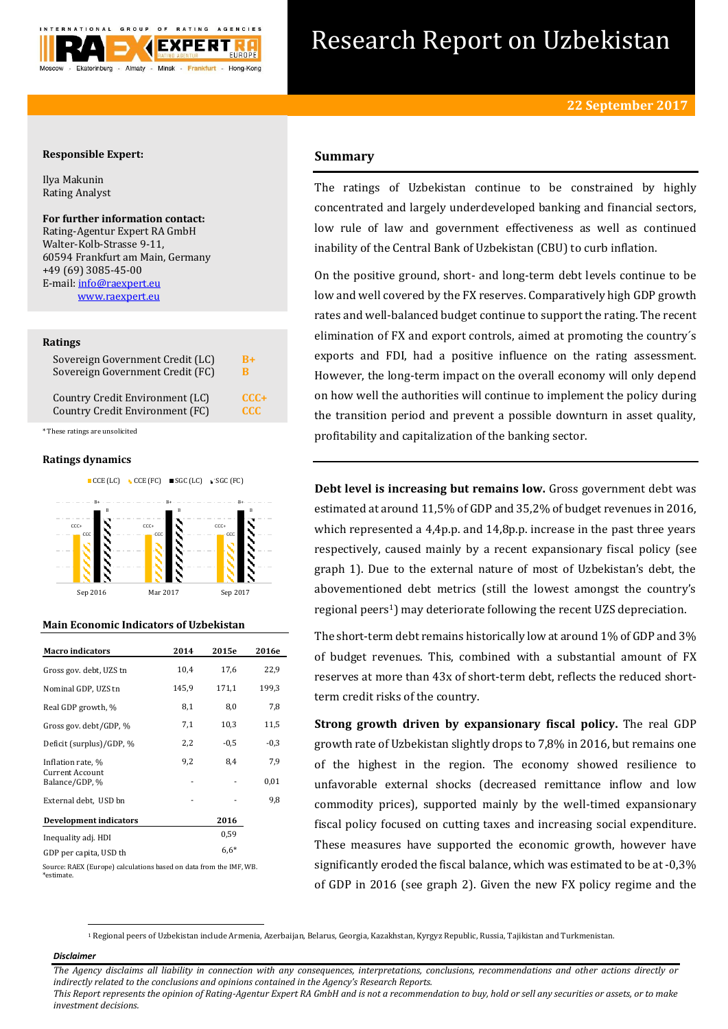

# Research Report on Uzbekistan

# **Responsible Expert:**

Ilya Makunin Rating Analyst

# **For further information contact:** Rating-Agentur Expert RA GmbH

Walter-Kolb-Strasse 9-11, 60594 Frankfurt am Main, Germany +49 (69) 3085-45-00 E-mail[: info@raexpert.eu](mailto:info@raexpert.eu) [www.raexpert.eu](http://raexpert.eu/)

## **Ratings**

| Sovereign Government Credit (LC) | R+         |
|----------------------------------|------------|
| Sovereign Government Credit (FC) | в          |
| Country Credit Environment (LC)  | $CCC +$    |
| Country Credit Environment (FC)  | <b>CCC</b> |

\* These ratings are unsolicited

## **Ratings dynamics**



## **Main Economic Indicators of Uzbekistan**

| <b>Macro</b> indicators                  | 2014  | 2015e  | 2016e  |
|------------------------------------------|-------|--------|--------|
| Gross gov. debt, UZS tn                  | 10,4  | 17,6   | 22,9   |
| Nominal GDP, UZS tn                      | 145,9 | 171,1  | 199,3  |
| Real GDP growth, %                       | 8,1   | 8,0    | 7,8    |
| Gross gov. debt/GDP, %                   | 7,1   | 10,3   | 11,5   |
| Deficit (surplus)/GDP, %                 | 2,2   | $-0.5$ | $-0,3$ |
| Inflation rate, %                        | 9,2   | 8,4    | 7,9    |
| <b>Current Account</b><br>Balance/GDP, % |       |        | 0,01   |
| External debt, USD bn                    |       |        | 9,8    |
| Development indicators                   |       | 2016   |        |
| Inequality adj. HDI                      |       | 0.59   |        |
| GDP per capita, USD th                   |       | $6,6*$ |        |

Source: RAEX (Europe) calculations based on data from the IMF, WB. \*estimate.

# **Summary**

The ratings of Uzbekistan continue to be constrained by highly concentrated and largely underdeveloped banking and financial sectors, low rule of law and government effectiveness as well as continued inability of the Central Bank of Uzbekistan (CBU) to curb inflation.

On the positive ground, short- and long-term debt levels continue to be low and well covered by the FX reserves. Comparatively high GDP growth rates and well-balanced budget continue to support the rating. The recent elimination of FX and export controls, aimed at promoting the country´s exports and FDI, had a positive influence on the rating assessment. However, the long-term impact on the overall economy will only depend on how well the authorities will continue to implement the policy during the transition period and prevent a possible downturn in asset quality, profitability and capitalization of the banking sector.

**Debt level is increasing but remains low.** Gross government debt was estimated at around 11,5% of GDP and 35,2% of budget revenues in 2016, which represented a 4,4p.p. and 14,8p.p. increase in the past three years respectively, caused mainly by a recent expansionary fiscal policy (see graph 1). Due to the external nature of most of Uzbekistan's debt, the abovementioned debt metrics (still the lowest amongst the country's regional peers<sup>1</sup>) may deteriorate following the recent UZS depreciation.

The short-term debt remains historically low at around 1% of GDP and 3% of budget revenues. This, combined with a substantial amount of FX reserves at more than 43x of short-term debt, reflects the reduced shortterm credit risks of the country.

**Strong growth driven by expansionary fiscal policy.** The real GDP growth rate of Uzbekistan slightly drops to 7,8% in 2016, but remains one of the highest in the region. The economy showed resilience to unfavorable external shocks (decreased remittance inflow and low commodity prices), supported mainly by the well-timed expansionary fiscal policy focused on cutting taxes and increasing social expenditure. These measures have supported the economic growth, however have significantly eroded the fiscal balance, which was estimated to be at -0,3% of GDP in 2016 (see graph 2). Given the new FX policy regime and the

<sup>1</sup> Regional peers of Uzbekistan include Armenia, Azerbaijan, Belarus, Georgia, Kazakhstan, Kyrgyz Republic, Russia, Tajikistan and Turkmenistan.

## *Disclaimer*

**.** 

*The Agency disclaims all liability in connection with any consequences, interpretations, conclusions, recommendations and other actions directly or indirectly related to the conclusions and opinions contained in the Agency's Research Reports. This Report represents the opinion of Rating-Agentur Expert RA GmbH and is not a recommendation to buy, hold or sell any securities or assets, or to make* 

*investment decisions.*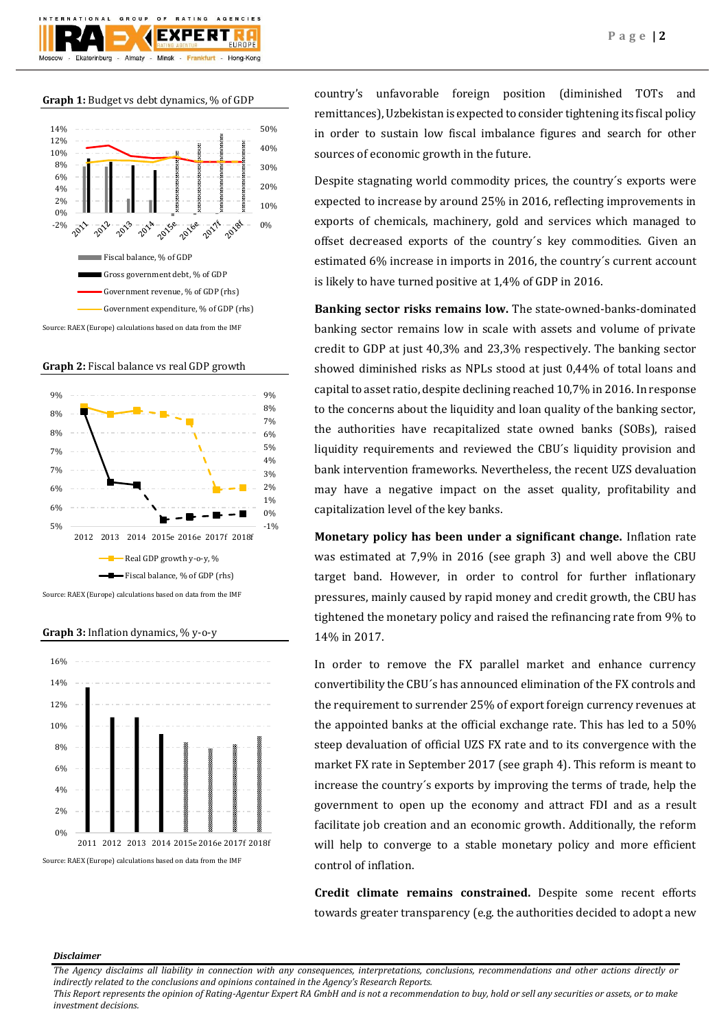

## **Graph 1:** Budget vs debt dynamics, % of GDP



**Graph 2:** Fiscal balance vs real GDP growth



**Graph 3:** Inflation dynamics, % y-o-y



country's unfavorable foreign position (diminished TOTs and remittances), Uzbekistan is expected to consider tightening its fiscal policy in order to sustain low fiscal imbalance figures and search for other sources of economic growth in the future.

Despite stagnating world commodity prices, the country´s exports were expected to increase by around 25% in 2016, reflecting improvements in exports of chemicals, machinery, gold and services which managed to offset decreased exports of the country´s key commodities. Given an estimated 6% increase in imports in 2016, the country´s current account is likely to have turned positive at 1,4% of GDP in 2016.

**Banking sector risks remains low.** The state-owned-banks-dominated banking sector remains low in scale with assets and volume of private credit to GDP at just 40,3% and 23,3% respectively. The banking sector showed diminished risks as NPLs stood at just 0,44% of total loans and capital to asset ratio, despite declining reached 10,7% in 2016. In response to the concerns about the liquidity and loan quality of the banking sector, the authorities have recapitalized state owned banks (SOBs), raised liquidity requirements and reviewed the CBU´s liquidity provision and bank intervention frameworks. Nevertheless, the recent UZS devaluation may have a negative impact on the asset quality, profitability and capitalization level of the key banks.

**Monetary policy has been under a significant change.** Inflation rate was estimated at 7,9% in 2016 (see graph 3) and well above the CBU target band. However, in order to control for further inflationary pressures, mainly caused by rapid money and credit growth, the CBU has tightened the monetary policy and raised the refinancing rate from 9% to 14% in 2017.

In order to remove the FX parallel market and enhance currency convertibility the CBU´s has announced elimination of the FX controls and the requirement to surrender 25% of export foreign currency revenues at the appointed banks at the official exchange rate. This has led to a 50% steep devaluation of official UZS FX rate and to its convergence with the market FX rate in September 2017 (see graph 4). This reform is meant to increase the country´s exports by improving the terms of trade, help the government to open up the economy and attract FDI and as a result facilitate job creation and an economic growth. Additionally, the reform will help to converge to a stable monetary policy and more efficient control of inflation.

**Credit climate remains constrained.** Despite some recent efforts towards greater transparency (e.g. the authorities decided to adopt a new

### *Disclaimer*

*This Report represents the opinion of Rating-Agentur Expert RA GmbH and is not a recommendation to buy, hold or sell any securities or assets, or to make investment decisions.*

*The Agency disclaims all liability in connection with any consequences, interpretations, conclusions, recommendations and other actions directly or indirectly related to the conclusions and opinions contained in the Agency's Research Reports.*